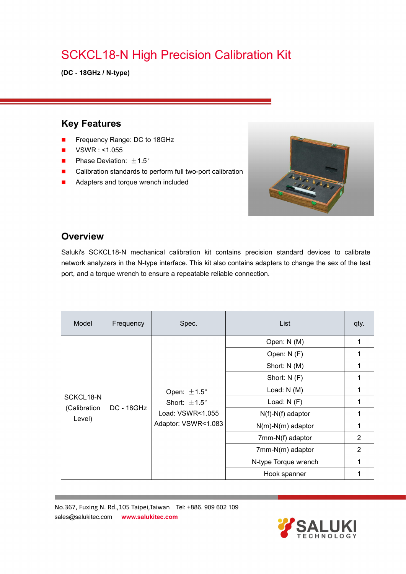## SCKCL18-N High Precision Calibration Kit

**(DC - 18GHz / N-type)**

#### **Key Features**

- Frequency Range: DC to 18GHz
- $\blacksquare$  VSWR : <1.055
- **Phase Deviation:**  $\pm 1.5^{\circ}$
- Calibration standards to perform full two-port calibration
- **Adapters and torque wrench included**



#### **Overview**

Saluki's SCKCL18-N mechanical calibration kit contains precision standard devices to calibrate network analyzers in the N-type interface. This kit also contains adapters to change the sex of the test port, and a torque wrench to ensure a repeatable reliable connection.

| Model                               | Frequency         | Spec.                                                                                          | List                 | qty.           |
|-------------------------------------|-------------------|------------------------------------------------------------------------------------------------|----------------------|----------------|
| SCKCL18-N<br>(Calibration<br>Level) | <b>DC - 18GHz</b> | Open: $\pm 1.5^{\circ}$<br>Short: $\pm 1.5^{\circ}$<br>Load: VSWR<1.055<br>Adaptor: VSWR<1.083 | Open: N (M)          | 1              |
|                                     |                   |                                                                                                | Open: N (F)          | 1              |
|                                     |                   |                                                                                                | Short: N (M)         | 1              |
|                                     |                   |                                                                                                | Short: N (F)         | 1              |
|                                     |                   |                                                                                                | Load: $N(M)$         | 1              |
|                                     |                   |                                                                                                | Load: $N(F)$         | 1              |
|                                     |                   |                                                                                                | $N(f)-N(f)$ adaptor  | 1              |
|                                     |                   |                                                                                                | $N(m)-N(m)$ adaptor  | 1              |
|                                     |                   |                                                                                                | 7mm-N(f) adaptor     | 2              |
|                                     |                   |                                                                                                | 7mm-N(m) adaptor     | $\overline{2}$ |
|                                     |                   |                                                                                                | N-type Torque wrench | 1              |
|                                     |                   |                                                                                                | Hook spanner         | 1              |